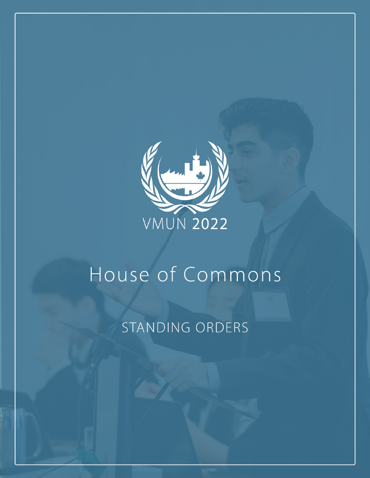

# House of Commons

## STANDING ORDERS

**VMUN 2022 HOUSE OF COMMONS STANDING ORDERS 1**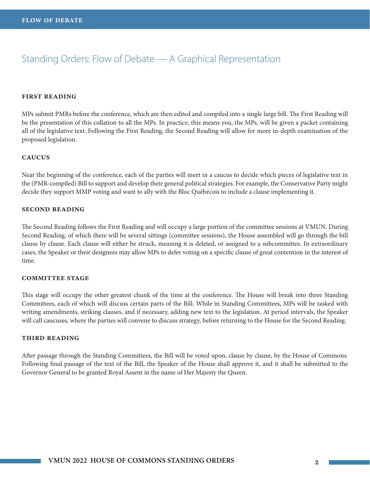## Standing Orders: Flow of Debate — A Graphical Representation

#### **first reading**

MPs submit PMRs before the conference, which are then edited and compiled into a single large bill. The First Reading will be the presentation of this collation to all the MPs. In practice, this means you, the MPs, will be given a packet containing all of the legislative text. Following the First Reading, the Second Reading will allow for more in-depth examination of the proposed legislation.

#### **caucus**

Near the beginning of the conference, each of the parties will meet in a caucus to decide which pieces of legislative text in the (PMR-compiled) Bill to support and develop their general political strategies. For example, the Conservative Party might decide they support MMP voting and want to ally with the Bloc Québécois to include a clause implementing it.

#### **second reading**

The Second Reading follows the First Reading and will occupy a large portion of the committee sessions at VMUN. During Second Reading, of which there will be several sittings (committee sessions), the House assembled will go through the bill clause by clause. Each clause will either be struck, meaning it is deleted, or assigned to a subcommittee. In extraordinary cases, the Speaker or their designees may allow MPs to defer voting on a specific clause of great contention in the interest of time.

#### **committee stage**

This stage will occupy the other greatest chunk of the time at the conference. The House will break into three Standing Committees, each of which will discuss certain parts of the Bill. While in Standing Committees, MPs will be tasked with writing amendments, striking clauses, and if necessary, adding new text to the legislation. At period intervals, the Speaker will call caucuses, where the parties will convene to discuss strategy, before returning to the House for the Second Reading.

#### **third reading**

After passage through the Standing Committees, the Bill will be voted upon, clause by clause, by the House of Commons. Following final passage of the text of the Bill, the Speaker of the House shall approve it, and it shall be submitted to the Governor General to be granted Royal Assent in the name of Her Majesty the Queen.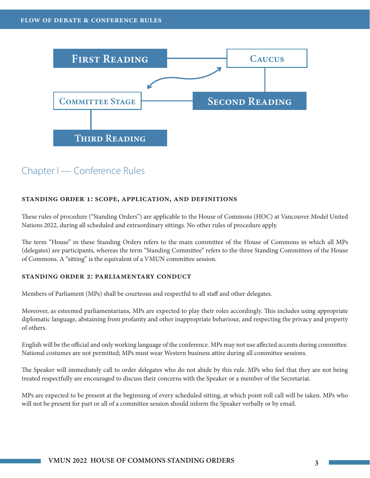

## Chapter I — Conference Rules

#### **standing order 1: scope, application, and definitions**

These rules of procedure ("Standing Orders") are applicable to the House of Commons (HOC) at Vancouver Model United Nations 2022, during all scheduled and extraordinary sittings. No other rules of procedure apply.

The term "House" in these Standing Orders refers to the main committee of the House of Commons in which all MPs (delegates) are participants, whereas the term "Standing Committee" refers to the three Standing Committees of the House of Commons. A "sitting" is the equivalent of a VMUN committee session.

#### **standing order 2: parliamentary conduct**

Members of Parliament (MPs) shall be courteous and respectful to all staff and other delegates.

Moreover, as esteemed parliamentarians, MPs are expected to play their roles accordingly. This includes using appropriate diplomatic language, abstaining from profanity and other inappropriate behaviour, and respecting the privacy and property of others.

English will be the official and only working language of the conference. MPs may not use affected accents during committee. National costumes are not permitted; MPs must wear Western business attire during all committee sessions.

The Speaker will immediately call to order delegates who do not abide by this rule. MPs who feel that they are not being treated respectfully are encouraged to discuss their concerns with the Speaker or a member of the Secretariat.

MPs are expected to be present at the beginning of every scheduled sitting, at which point roll call will be taken. MPs who will not be present for part or all of a committee session should inform the Speaker verbally or by email.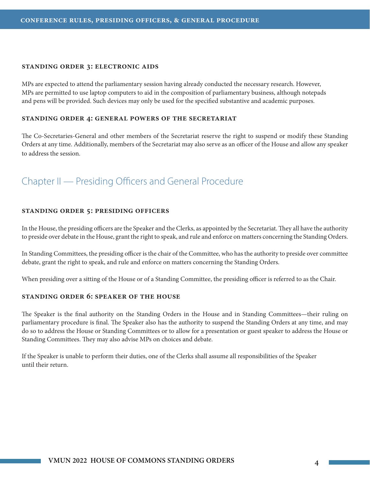#### **standing order 3: electronic aids**

MPs are expected to attend the parliamentary session having already conducted the necessary research. However, MPs are permitted to use laptop computers to aid in the composition of parliamentary business, although notepads and pens will be provided. Such devices may only be used for the specified substantive and academic purposes.

#### **standing order 4: general powers of the secretariat**

The Co-Secretaries-General and other members of the Secretariat reserve the right to suspend or modify these Standing Orders at any time. Additionally, members of the Secretariat may also serve as an officer of the House and allow any speaker to address the session.

## Chapter II — Presiding Officers and General Procedure

#### **standing order 5: presiding officers**

In the House, the presiding officers are the Speaker and the Clerks, as appointed by the Secretariat. They all have the authority to preside over debate in the House, grant the right to speak, and rule and enforce on matters concerning the Standing Orders.

In Standing Committees, the presiding officer is the chair of the Committee, who has the authority to preside over committee debate, grant the right to speak, and rule and enforce on matters concerning the Standing Orders.

When presiding over a sitting of the House or of a Standing Committee, the presiding officer is referred to as the Chair.

#### **standing order 6: speaker of the house**

The Speaker is the final authority on the Standing Orders in the House and in Standing Committees—their ruling on parliamentary procedure is final. The Speaker also has the authority to suspend the Standing Orders at any time, and may do so to address the House or Standing Committees or to allow for a presentation or guest speaker to address the House or Standing Committees. They may also advise MPs on choices and debate.

If the Speaker is unable to perform their duties, one of the Clerks shall assume all responsibilities of the Speaker until their return.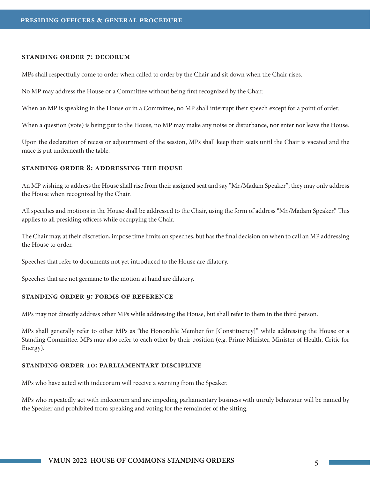#### **standing order 7: decorum**

MPs shall respectfully come to order when called to order by the Chair and sit down when the Chair rises.

No MP may address the House or a Committee without being first recognized by the Chair.

When an MP is speaking in the House or in a Committee, no MP shall interrupt their speech except for a point of order.

When a question (vote) is being put to the House, no MP may make any noise or disturbance, nor enter nor leave the House.

Upon the declaration of recess or adjournment of the session, MPs shall keep their seats until the Chair is vacated and the mace is put underneath the table.

#### **standing order 8: addressing the house**

An MP wishing to address the House shall rise from their assigned seat and say "Mr./Madam Speaker"; they may only address the House when recognized by the Chair.

All speeches and motions in the House shall be addressed to the Chair, using the form of address "Mr./Madam Speaker." This applies to all presiding officers while occupying the Chair.

The Chair may, at their discretion, impose time limits on speeches, but has the final decision on when to call an MP addressing the House to order.

Speeches that refer to documents not yet introduced to the House are dilatory.

Speeches that are not germane to the motion at hand are dilatory.

#### **standing order 9: forms of reference**

MPs may not directly address other MPs while addressing the House, but shall refer to them in the third person.

MPs shall generally refer to other MPs as "the Honorable Member for [Constituency]" while addressing the House or a Standing Committee. MPs may also refer to each other by their position (e.g. Prime Minister, Minister of Health, Critic for Energy).

#### **standing order 10: parliamentary discipline**

MPs who have acted with indecorum will receive a warning from the Speaker.

MPs who repeatedly act with indecorum and are impeding parliamentary business with unruly behaviour will be named by the Speaker and prohibited from speaking and voting for the remainder of the sitting.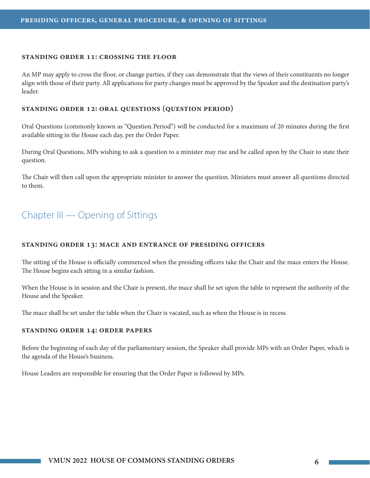#### **standing order 11: crossing the floor**

An MP may apply to cross the floor, or change parties, if they can demonstrate that the views of their constituents no longer align with those of their party. All applications for party changes must be approved by the Speaker and the destination party's leader.

#### **standing order 12: oral questions (question period)**

Oral Questions (commonly known as "Question Period") will be conducted for a maximum of 20 minutes during the first available sitting in the House each day, per the Order Paper.

During Oral Questions, MPs wishing to ask a question to a minister may rise and be called upon by the Chair to state their question.

The Chair will then call upon the appropriate minister to answer the question. Ministers must answer all questions directed to them.

## Chapter III — Opening of Sittings

#### **standing order 13: mace and entrance of presiding officers**

The sitting of the House is officially commenced when the presiding officers take the Chair and the mace enters the House. The House begins each sitting in a similar fashion.

When the House is in session and the Chair is present, the mace shall be set upon the table to represent the authority of the House and the Speaker.

The mace shall be set under the table when the Chair is vacated, such as when the House is in recess.

#### **standing order 14: order papers**

Before the beginning of each day of the parliamentary session, the Speaker shall provide MPs with an Order Paper, which is the agenda of the House's business.

House Leaders are responsible for ensuring that the Order Paper is followed by MPs.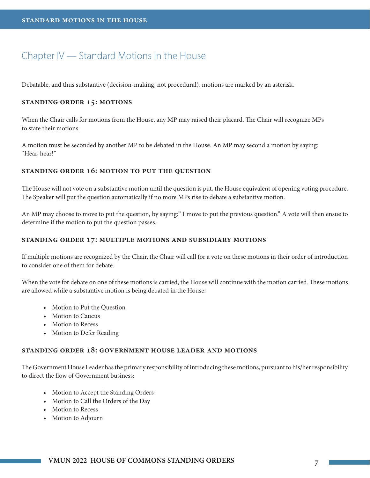### Chapter IV — Standard Motions in the House

Debatable, and thus substantive (decision-making, not procedural), motions are marked by an asterisk.

#### **standing order 15: motions**

When the Chair calls for motions from the House, any MP may raised their placard. The Chair will recognize MPs to state their motions.

A motion must be seconded by another MP to be debated in the House. An MP may second a motion by saying: "Hear, hear!"

#### **standing order 16: motion to put the question**

The House will not vote on a substantive motion until the question is put, the House equivalent of opening voting procedure. The Speaker will put the question automatically if no more MPs rise to debate a substantive motion.

An MP may choose to move to put the question, by saying:" I move to put the previous question." A vote will then ensue to determine if the motion to put the question passes.

#### **standing order 17: multiple motions and subsidiary motions**

If multiple motions are recognized by the Chair, the Chair will call for a vote on these motions in their order of introduction to consider one of them for debate.

When the vote for debate on one of these motions is carried, the House will continue with the motion carried. These motions are allowed while a substantive motion is being debated in the House:

- Motion to Put the Question
- Motion to Caucus
- Motion to Recess
- Motion to Defer Reading

#### **standing order 18: government house leader and motions**

The Government House Leader has the primary responsibility of introducing these motions, pursuant to his/her responsibility to direct the flow of Government business:

- Motion to Accept the Standing Orders
- Motion to Call the Orders of the Day
- Motion to Recess
- Motion to Adjourn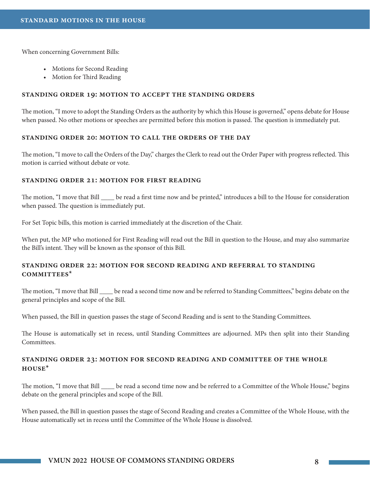When concerning Government Bills:

- Motions for Second Reading
- Motion for Third Reading

#### **standing order 19: motion to accept the standing orders**

The motion, "I move to adopt the Standing Orders as the authority by which this House is governed," opens debate for House when passed. No other motions or speeches are permitted before this motion is passed. The question is immediately put.

#### **standing order 20: motion to call the orders of the day**

The motion, "I move to call the Orders of the Day," charges the Clerk to read out the Order Paper with progress reflected. This motion is carried without debate or vote.

#### **standing order 21: motion for first reading**

The motion, "I move that Bill \_\_\_\_\_ be read a first time now and be printed," introduces a bill to the House for consideration when passed. The question is immediately put.

For Set Topic bills, this motion is carried immediately at the discretion of the Chair.

When put, the MP who motioned for First Reading will read out the Bill in question to the House, and may also summarize the Bill's intent. They will be known as the sponsor of this Bill.

#### **standing order 22: motion for second reading and referral to standing committees\***

The motion, "I move that Bill \_\_\_\_ be read a second time now and be referred to Standing Committees," begins debate on the general principles and scope of the Bill.

When passed, the Bill in question passes the stage of Second Reading and is sent to the Standing Committees.

The House is automatically set in recess, until Standing Committees are adjourned. MPs then split into their Standing **Committees** 

#### **standing order 23: motion for second reading and committee of the whole house\***

The motion, "I move that Bill \_\_\_\_\_ be read a second time now and be referred to a Committee of the Whole House," begins debate on the general principles and scope of the Bill.

When passed, the Bill in question passes the stage of Second Reading and creates a Committee of the Whole House, with the House automatically set in recess until the Committee of the Whole House is dissolved.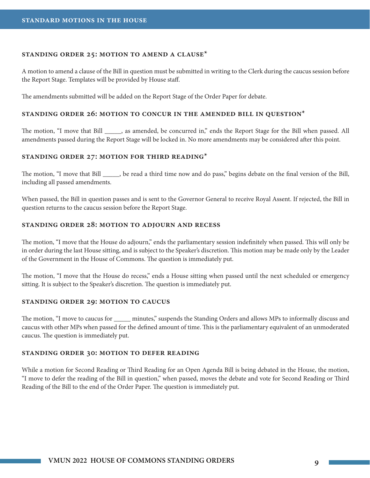#### **standing order 25: motion to amend a clause\***

A motion to amend a clause of the Bill in question must be submitted in writing to the Clerk during the caucus session before the Report Stage. Templates will be provided by House staff.

The amendments submitted will be added on the Report Stage of the Order Paper for debate.

#### **standing order 26: motion to concur in the amended bill in question\***

The motion, "I move that Bill \_\_\_\_\_, as amended, be concurred in," ends the Report Stage for the Bill when passed. All amendments passed during the Report Stage will be locked in. No more amendments may be considered after this point.

#### **standing order 27: motion for third reading\***

The motion, "I move that Bill \_\_\_\_\_, be read a third time now and do pass," begins debate on the final version of the Bill, including all passed amendments.

When passed, the Bill in question passes and is sent to the Governor General to receive Royal Assent. If rejected, the Bill in question returns to the caucus session before the Report Stage.

#### **standing order 28: motion to adjourn and recess**

The motion, "I move that the House do adjourn," ends the parliamentary session indefinitely when passed. This will only be in order during the last House sitting, and is subject to the Speaker's discretion. This motion may be made only by the Leader of the Government in the House of Commons. The question is immediately put.

The motion, "I move that the House do recess," ends a House sitting when passed until the next scheduled or emergency sitting. It is subject to the Speaker's discretion. The question is immediately put.

#### **standing order 29: motion to caucus**

The motion, "I move to caucus for \_\_\_\_\_ minutes," suspends the Standing Orders and allows MPs to informally discuss and caucus with other MPs when passed for the defined amount of time. This is the parliamentary equivalent of an unmoderated caucus. The question is immediately put.

#### **standing order 30: motion to defer reading**

While a motion for Second Reading or Third Reading for an Open Agenda Bill is being debated in the House, the motion, "I move to defer the reading of the Bill in question," when passed, moves the debate and vote for Second Reading or Third Reading of the Bill to the end of the Order Paper. The question is immediately put.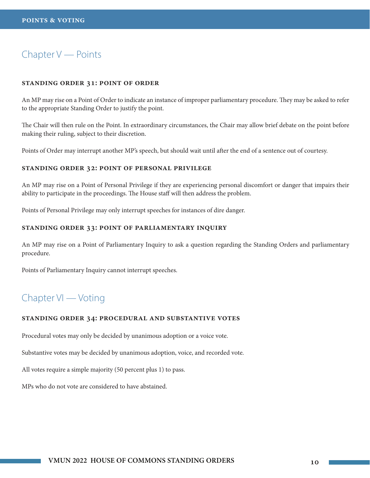## Chapter V — Points

#### **standing order 31: point of order**

An MP may rise on a Point of Order to indicate an instance of improper parliamentary procedure. They may be asked to refer to the appropriate Standing Order to justify the point.

The Chair will then rule on the Point. In extraordinary circumstances, the Chair may allow brief debate on the point before making their ruling, subject to their discretion.

Points of Order may interrupt another MP's speech, but should wait until after the end of a sentence out of courtesy.

#### **standing order 32: point of personal privilege**

An MP may rise on a Point of Personal Privilege if they are experiencing personal discomfort or danger that impairs their ability to participate in the proceedings. The House staff will then address the problem.

Points of Personal Privilege may only interrupt speeches for instances of dire danger.

#### **standing order 33: point of parliamentary inquiry**

An MP may rise on a Point of Parliamentary Inquiry to ask a question regarding the Standing Orders and parliamentary procedure.

Points of Parliamentary Inquiry cannot interrupt speeches.

## Chapter VI — Voting

#### **standing order 34: procedural and substantive votes**

Procedural votes may only be decided by unanimous adoption or a voice vote.

Substantive votes may be decided by unanimous adoption, voice, and recorded vote.

All votes require a simple majority (50 percent plus 1) to pass.

MPs who do not vote are considered to have abstained.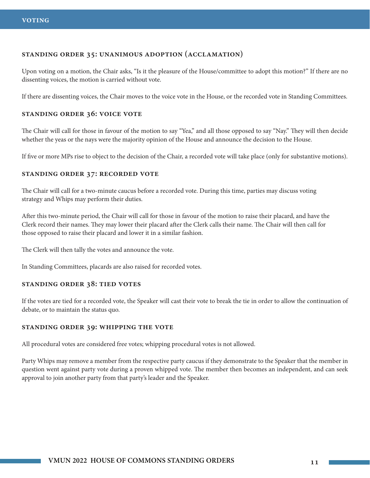#### **standing order 35: unanimous adoption (acclamation)**

Upon voting on a motion, the Chair asks, "Is it the pleasure of the House/committee to adopt this motion?" If there are no dissenting voices, the motion is carried without vote.

If there are dissenting voices, the Chair moves to the voice vote in the House, or the recorded vote in Standing Committees.

#### **standing order 36: voice vote**

The Chair will call for those in favour of the motion to say "Yea," and all those opposed to say "Nay." They will then decide whether the yeas or the nays were the majority opinion of the House and announce the decision to the House.

If five or more MPs rise to object to the decision of the Chair, a recorded vote will take place (only for substantive motions).

#### **standing order 37: recorded vote**

The Chair will call for a two-minute caucus before a recorded vote. During this time, parties may discuss voting strategy and Whips may perform their duties.

After this two-minute period, the Chair will call for those in favour of the motion to raise their placard, and have the Clerk record their names. They may lower their placard after the Clerk calls their name. The Chair will then call for those opposed to raise their placard and lower it in a similar fashion.

The Clerk will then tally the votes and announce the vote.

In Standing Committees, placards are also raised for recorded votes.

#### **standing order 38: tied votes**

If the votes are tied for a recorded vote, the Speaker will cast their vote to break the tie in order to allow the continuation of debate, or to maintain the status quo.

#### **standing order 39: whipping the vote**

All procedural votes are considered free votes; whipping procedural votes is not allowed.

Party Whips may remove a member from the respective party caucus if they demonstrate to the Speaker that the member in question went against party vote during a proven whipped vote. The member then becomes an independent, and can seek approval to join another party from that party's leader and the Speaker.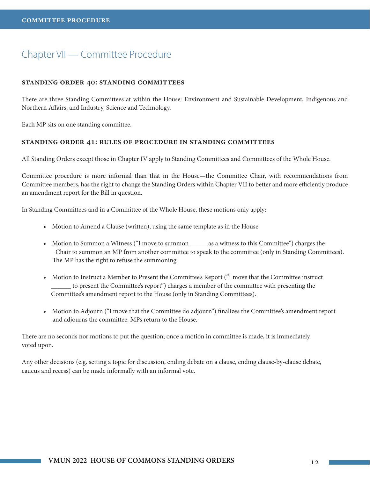## Chapter VII — Committee Procedure

#### **standing order 40: standing committees**

There are three Standing Committees at within the House: Environment and Sustainable Development, Indigenous and Northern Affairs, and Industry, Science and Technology.

Each MP sits on one standing committee.

#### **standing order 41: rules of procedure in standing committees**

All Standing Orders except those in Chapter IV apply to Standing Committees and Committees of the Whole House.

Committee procedure is more informal than that in the House—the Committee Chair, with recommendations from Committee members, has the right to change the Standing Orders within Chapter VII to better and more efficiently produce an amendment report for the Bill in question.

In Standing Committees and in a Committee of the Whole House, these motions only apply:

- Motion to Amend a Clause (written), using the same template as in the House.
- Motion to Summon a Witness ("I move to summon \_\_\_\_\_\_\_ as a witness to this Committee") charges the Chair to summon an MP from another committee to speak to the committee (only in Standing Committees). The MP has the right to refuse the summoning.
- Motion to Instruct a Member to Present the Committee's Report ("I move that the Committee instruct \_\_\_\_\_\_ to present the Committee's report") charges a member of the committee with presenting the Committee's amendment report to the House (only in Standing Committees).
- Motion to Adjourn ("I move that the Committee do adjourn") finalizes the Committee's amendment report and adjourns the committee. MPs return to the House.

There are no seconds nor motions to put the question; once a motion in committee is made, it is immediately voted upon.

Any other decisions (e.g. setting a topic for discussion, ending debate on a clause, ending clause-by-clause debate, caucus and recess) can be made informally with an informal vote.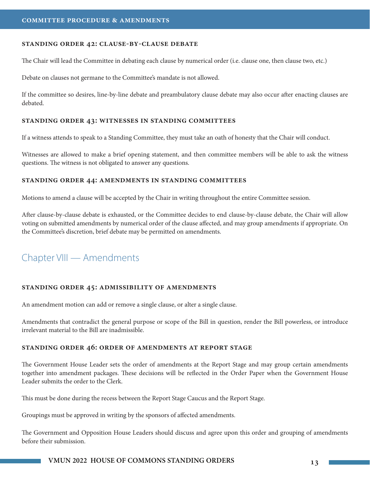#### **standing order 42: clause-by-clause debate**

The Chair will lead the Committee in debating each clause by numerical order (i.e. clause one, then clause two, etc.)

Debate on clauses not germane to the Committee's mandate is not allowed.

If the committee so desires, line-by-line debate and preambulatory clause debate may also occur after enacting clauses are debated.

#### **standing order 43: witnesses in standing committees**

If a witness attends to speak to a Standing Committee, they must take an oath of honesty that the Chair will conduct.

Witnesses are allowed to make a brief opening statement, and then committee members will be able to ask the witness questions. The witness is not obligated to answer any questions.

#### **standing order 44: amendments in standing committees**

Motions to amend a clause will be accepted by the Chair in writing throughout the entire Committee session.

After clause-by-clause debate is exhausted, or the Committee decides to end clause-by-clause debate, the Chair will allow voting on submitted amendments by numerical order of the clause affected, and may group amendments if appropriate. On the Committee's discretion, brief debate may be permitted on amendments.

## Chapter VIII — Amendments

#### **standing order 45: admissibility of amendments**

An amendment motion can add or remove a single clause, or alter a single clause.

Amendments that contradict the general purpose or scope of the Bill in question, render the Bill powerless, or introduce irrelevant material to the Bill are inadmissible.

#### **standing order 46: order of amendments at report stage**

The Government House Leader sets the order of amendments at the Report Stage and may group certain amendments together into amendment packages. These decisions will be reflected in the Order Paper when the Government House Leader submits the order to the Clerk.

This must be done during the recess between the Report Stage Caucus and the Report Stage.

Groupings must be approved in writing by the sponsors of affected amendments.

The Government and Opposition House Leaders should discuss and agree upon this order and grouping of amendments before their submission.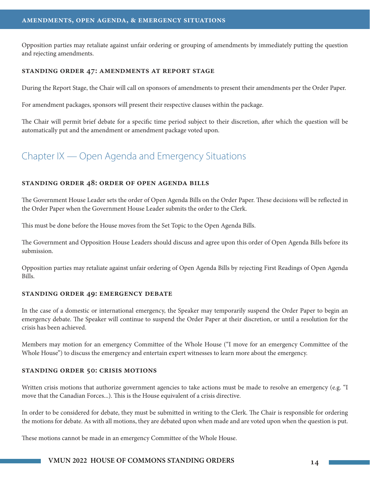Opposition parties may retaliate against unfair ordering or grouping of amendments by immediately putting the question and rejecting amendments.

#### **standing order 47: amendments at report stage**

During the Report Stage, the Chair will call on sponsors of amendments to present their amendments per the Order Paper.

For amendment packages, sponsors will present their respective clauses within the package.

The Chair will permit brief debate for a specific time period subject to their discretion, after which the question will be automatically put and the amendment or amendment package voted upon.

## Chapter IX — Open Agenda and Emergency Situations

#### **standing order 48: order of open agenda bills**

The Government House Leader sets the order of Open Agenda Bills on the Order Paper. These decisions will be reflected in the Order Paper when the Government House Leader submits the order to the Clerk.

This must be done before the House moves from the Set Topic to the Open Agenda Bills.

The Government and Opposition House Leaders should discuss and agree upon this order of Open Agenda Bills before its submission.

Opposition parties may retaliate against unfair ordering of Open Agenda Bills by rejecting First Readings of Open Agenda Bills.

#### **standing order 49: emergency debate**

In the case of a domestic or international emergency, the Speaker may temporarily suspend the Order Paper to begin an emergency debate. The Speaker will continue to suspend the Order Paper at their discretion, or until a resolution for the crisis has been achieved.

Members may motion for an emergency Committee of the Whole House ("I move for an emergency Committee of the Whole House") to discuss the emergency and entertain expert witnesses to learn more about the emergency.

#### **standing order 50: crisis motions**

Written crisis motions that authorize government agencies to take actions must be made to resolve an emergency (e.g. "I move that the Canadian Forces...). This is the House equivalent of a crisis directive.

In order to be considered for debate, they must be submitted in writing to the Clerk. The Chair is responsible for ordering the motions for debate. As with all motions, they are debated upon when made and are voted upon when the question is put.

These motions cannot be made in an emergency Committee of the Whole House.

#### **VMUN 2022 HOUSE OF COMMONS STANDING ORDERS 14**